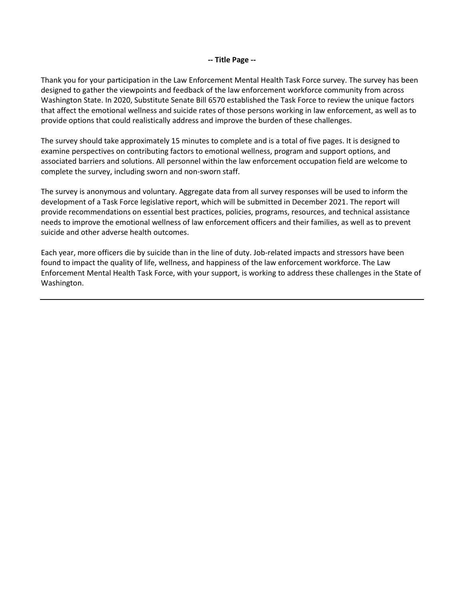### **-- Title Page --**

Thank you for your participation in the Law Enforcement Mental Health Task Force survey. The survey has been designed to gather the viewpoints and feedback of the law enforcement workforce community from across Washington State. In 2020, Substitute Senate Bill 6570 established the Task Force to review the unique factors that affect the emotional wellness and suicide rates of those persons working in law enforcement, as well as to provide options that could realistically address and improve the burden of these challenges.

The survey should take approximately 15 minutes to complete and is a total of five pages. It is designed to examine perspectives on contributing factors to emotional wellness, program and support options, and associated barriers and solutions. All personnel within the law enforcement occupation field are welcome to complete the survey, including sworn and non-sworn staff.

The survey is anonymous and voluntary. Aggregate data from all survey responses will be used to inform the development of a Task Force legislative report, which will be submitted in December 2021. The report will provide recommendations on essential best practices, policies, programs, resources, and technical assistance needs to improve the emotional wellness of law enforcement officers and their families, as well as to prevent suicide and other adverse health outcomes.

Each year, more officers die by suicide than in the line of duty. Job-related impacts and stressors have been found to impact the quality of life, wellness, and happiness of the law enforcement workforce. The Law Enforcement Mental Health Task Force, with your support, is working to address these challenges in the State of Washington.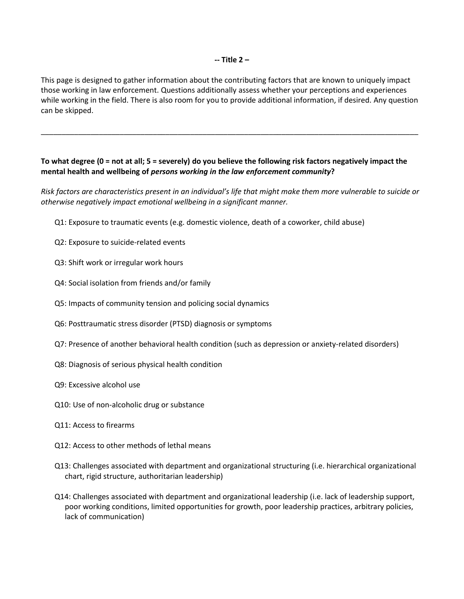This page is designed to gather information about the contributing factors that are known to uniquely impact those working in law enforcement. Questions additionally assess whether your perceptions and experiences while working in the field. There is also room for you to provide additional information, if desired. Any question can be skipped.

\_\_\_\_\_\_\_\_\_\_\_\_\_\_\_\_\_\_\_\_\_\_\_\_\_\_\_\_\_\_\_\_\_\_\_\_\_\_\_\_\_\_\_\_\_\_\_\_\_\_\_\_\_\_\_\_\_\_\_\_\_\_\_\_\_\_\_\_\_\_\_\_\_\_\_\_\_\_\_\_\_\_\_\_\_\_\_\_\_\_\_

# **To what degree (0 = not at all; 5 = severely) do you believe the following risk factors negatively impact the mental health and wellbeing of** *persons working in the law enforcement community***?**

*Risk factors are characteristics present in an individual's life that might make them more vulnerable to suicide or otherwise negatively impact emotional wellbeing in a significant manner.*

- Q1: Exposure to traumatic events (e.g. domestic violence, death of a coworker, child abuse)
- Q2: Exposure to suicide-related events
- Q3: Shift work or irregular work hours
- Q4: Social isolation from friends and/or family
- Q5: Impacts of community tension and policing social dynamics
- Q6: Posttraumatic stress disorder (PTSD) diagnosis or symptoms
- Q7: Presence of another behavioral health condition (such as depression or anxiety-related disorders)
- Q8: Diagnosis of serious physical health condition
- Q9: Excessive alcohol use
- Q10: Use of non-alcoholic drug or substance
- Q11: Access to firearms
- Q12: Access to other methods of lethal means
- Q13: Challenges associated with department and organizational structuring (i.e. hierarchical organizational chart, rigid structure, authoritarian leadership)
- Q14: Challenges associated with department and organizational leadership (i.e. lack of leadership support, poor working conditions, limited opportunities for growth, poor leadership practices, arbitrary policies, lack of communication)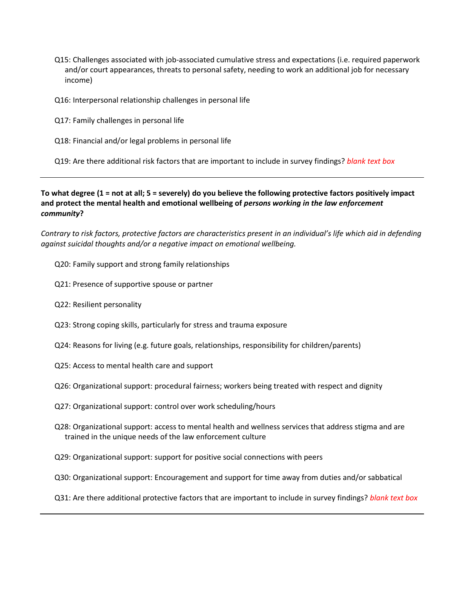- Q15: Challenges associated with job-associated cumulative stress and expectations (i.e. required paperwork and/or court appearances, threats to personal safety, needing to work an additional job for necessary income)
- Q16: Interpersonal relationship challenges in personal life
- Q17: Family challenges in personal life
- Q18: Financial and/or legal problems in personal life

Q19: Are there additional risk factors that are important to include in survey findings? *blank text box*

**To what degree (1 = not at all; 5 = severely) do you believe the following protective factors positively impact and protect the mental health and emotional wellbeing of** *persons working in the law enforcement community***?**

*Contrary to risk factors, protective factors are characteristics present in an individual's life which aid in defending against suicidal thoughts and/or a negative impact on emotional wellbeing.* 

- Q20: Family support and strong family relationships
- Q21: Presence of supportive spouse or partner
- Q22: Resilient personality
- Q23: Strong coping skills, particularly for stress and trauma exposure
- Q24: Reasons for living (e.g. future goals, relationships, responsibility for children/parents)
- Q25: Access to mental health care and support
- Q26: Organizational support: procedural fairness; workers being treated with respect and dignity
- Q27: Organizational support: control over work scheduling/hours
- Q28: Organizational support: access to mental health and wellness services that address stigma and are trained in the unique needs of the law enforcement culture
- Q29: Organizational support: support for positive social connections with peers
- Q30: Organizational support: Encouragement and support for time away from duties and/or sabbatical
- Q31: Are there additional protective factors that are important to include in survey findings? *blank text box*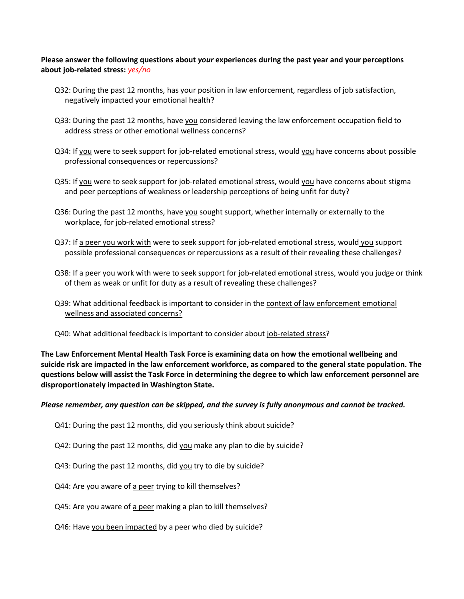## **Please answer the following questions about** *your* **experiences during the past year and your perceptions about job-related stress:** *yes/no*

- Q32: During the past 12 months, has your position in law enforcement, regardless of job satisfaction, negatively impacted your emotional health?
- Q33: During the past 12 months, have you considered leaving the law enforcement occupation field to address stress or other emotional wellness concerns?
- Q34: If you were to seek support for job-related emotional stress, would you have concerns about possible professional consequences or repercussions?
- Q35: If you were to seek support for job-related emotional stress, would you have concerns about stigma and peer perceptions of weakness or leadership perceptions of being unfit for duty?
- Q36: During the past 12 months, have you sought support, whether internally or externally to the workplace, for job-related emotional stress?
- Q37: If a peer you work with were to seek support for job-related emotional stress, would you support possible professional consequences or repercussions as a result of their revealing these challenges?
- Q38: If a peer you work with were to seek support for job-related emotional stress, would you judge or think of them as weak or unfit for duty as a result of revealing these challenges?
- Q39: What additional feedback is important to consider in the context of law enforcement emotional wellness and associated concerns?
- Q40: What additional feedback is important to consider about job-related stress?

**The Law Enforcement Mental Health Task Force is examining data on how the emotional wellbeing and suicide risk are impacted in the law enforcement workforce, as compared to the general state population. The questions below will assist the Task Force in determining the degree to which law enforcement personnel are disproportionately impacted in Washington State.** 

### *Please remember, any question can be skipped, and the survey is fully anonymous and cannot be tracked.*

- Q41: During the past 12 months, did you seriously think about suicide?
- Q42: During the past 12 months, did you make any plan to die by suicide?
- Q43: During the past 12 months, did you try to die by suicide?
- Q44: Are you aware of a peer trying to kill themselves?
- Q45: Are you aware of a peer making a plan to kill themselves?
- Q46: Have you been impacted by a peer who died by suicide?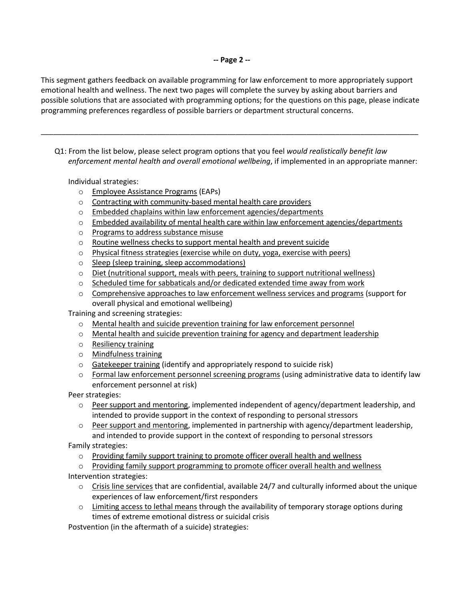This segment gathers feedback on available programming for law enforcement to more appropriately support emotional health and wellness. The next two pages will complete the survey by asking about barriers and possible solutions that are associated with programming options; for the questions on this page, please indicate programming preferences regardless of possible barriers or department structural concerns.

\_\_\_\_\_\_\_\_\_\_\_\_\_\_\_\_\_\_\_\_\_\_\_\_\_\_\_\_\_\_\_\_\_\_\_\_\_\_\_\_\_\_\_\_\_\_\_\_\_\_\_\_\_\_\_\_\_\_\_\_\_\_\_\_\_\_\_\_\_\_\_\_\_\_\_\_\_\_\_\_\_\_\_\_\_\_\_\_\_\_\_

Q1: From the list below, please select program options that you feel *would realistically benefit law enforcement mental health and overall emotional wellbeing*, if implemented in an appropriate manner:

Individual strategies:

- o Employee Assistance Programs (EAPs)
- o Contracting with community-based mental health care providers
- o Embedded chaplains within law enforcement agencies/departments
- $\circ$  Embedded availability of mental health care within law enforcement agencies/departments
- o Programs to address substance misuse
- o Routine wellness checks to support mental health and prevent suicide
- o Physical fitness strategies (exercise while on duty, yoga, exercise with peers)
- o Sleep (sleep training, sleep accommodations)
- $\circ$  Diet (nutritional support, meals with peers, training to support nutritional wellness)
- $\circ$  Scheduled time for sabbaticals and/or dedicated extended time away from work
- o Comprehensive approaches to law enforcement wellness services and programs (support for overall physical and emotional wellbeing)

Training and screening strategies:

- o Mental health and suicide prevention training for law enforcement personnel
- $\circ$  Mental health and suicide prevention training for agency and department leadership
- o Resiliency training
- o Mindfulness training
- o Gatekeeper training (identify and appropriately respond to suicide risk)
- o Formal law enforcement personnel screening programs (using administrative data to identify law enforcement personnel at risk)

Peer strategies:

- $\circ$  Peer support and mentoring, implemented independent of agency/department leadership, and intended to provide support in the context of responding to personal stressors
- $\circ$  Peer support and mentoring, implemented in partnership with agency/department leadership, and intended to provide support in the context of responding to personal stressors

Family strategies:

- o Providing family support training to promote officer overall health and wellness
- $\circ$  Providing family support programming to promote officer overall health and wellness

Intervention strategies:

- $\circ$  Crisis line services that are confidential, available 24/7 and culturally informed about the unique experiences of law enforcement/first responders
- $\circ$  Limiting access to lethal means through the availability of temporary storage options during times of extreme emotional distress or suicidal crisis

Postvention (in the aftermath of a suicide) strategies: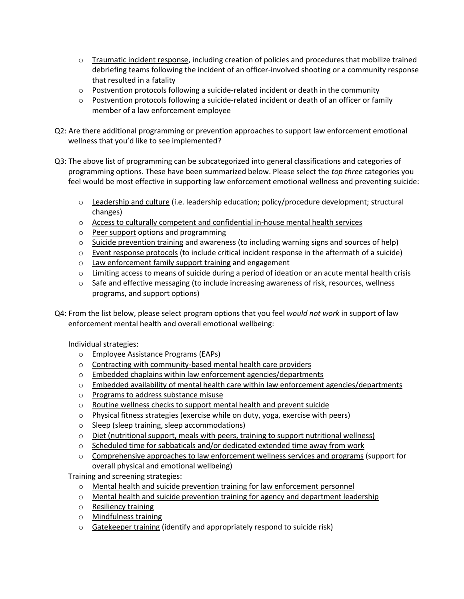- $\circ$  Traumatic incident response, including creation of policies and procedures that mobilize trained debriefing teams following the incident of an officer-involved shooting or a community response that resulted in a fatality
- $\circ$  Postvention protocols following a suicide-related incident or death in the community
- $\circ$  Postvention protocols following a suicide-related incident or death of an officer or family member of a law enforcement employee
- Q2: Are there additional programming or prevention approaches to support law enforcement emotional wellness that you'd like to see implemented?
- Q3: The above list of programming can be subcategorized into general classifications and categories of programming options. These have been summarized below. Please select the *top three* categories you feel would be most effective in supporting law enforcement emotional wellness and preventing suicide:
	- o Leadership and culture (i.e. leadership education; policy/procedure development; structural changes)
	- $\circ$  Access to culturally competent and confidential in-house mental health services
	- o Peer support options and programming
	- $\circ$  Suicide prevention training and awareness (to including warning signs and sources of help)
	- $\circ$  Event response protocols (to include critical incident response in the aftermath of a suicide)
	- o Law enforcement family support training and engagement
	- $\circ$  Limiting access to means of suicide during a period of ideation or an acute mental health crisis
	- $\circ$  Safe and effective messaging (to include increasing awareness of risk, resources, wellness programs, and support options)
- Q4: From the list below, please select program options that you feel *would not work* in support of law enforcement mental health and overall emotional wellbeing:

Individual strategies:

- o Employee Assistance Programs (EAPs)
- o Contracting with community-based mental health care providers
- o Embedded chaplains within law enforcement agencies/departments
- $\circ$  Embedded availability of mental health care within law enforcement agencies/departments
- o Programs to address substance misuse
- o Routine wellness checks to support mental health and prevent suicide
- o Physical fitness strategies (exercise while on duty, yoga, exercise with peers)
- o Sleep (sleep training, sleep accommodations)
- $\circ$  Diet (nutritional support, meals with peers, training to support nutritional wellness)
- $\circ$  Scheduled time for sabbaticals and/or dedicated extended time away from work
- $\circ$  Comprehensive approaches to law enforcement wellness services and programs (support for overall physical and emotional wellbeing)

Training and screening strategies:

- o Mental health and suicide prevention training for law enforcement personnel
- $\circ$  Mental health and suicide prevention training for agency and department leadership
- o Resiliency training
- o Mindfulness training
- $\circ$  Gatekeeper training (identify and appropriately respond to suicide risk)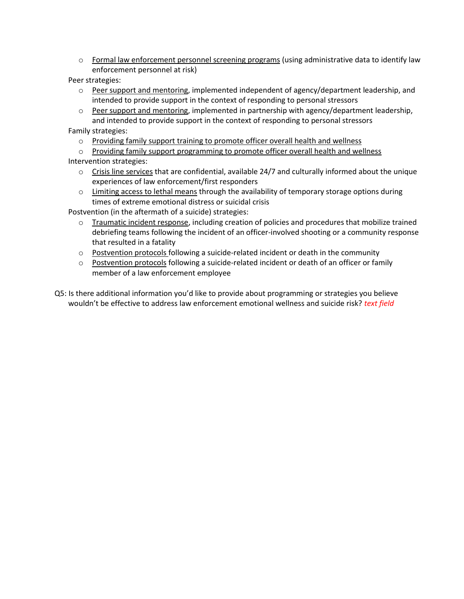- o Formal law enforcement personnel screening programs (using administrative data to identify law enforcement personnel at risk)
- Peer strategies:
	- o Peer support and mentoring, implemented independent of agency/department leadership, and intended to provide support in the context of responding to personal stressors
	- o Peer support and mentoring, implemented in partnership with agency/department leadership, and intended to provide support in the context of responding to personal stressors

Family strategies:

- o Providing family support training to promote officer overall health and wellness
- o Providing family support programming to promote officer overall health and wellness
- Intervention strategies:
	- $\circ$  Crisis line services that are confidential, available 24/7 and culturally informed about the unique experiences of law enforcement/first responders
	- $\circ$  Limiting access to lethal means through the availability of temporary storage options during times of extreme emotional distress or suicidal crisis

Postvention (in the aftermath of a suicide) strategies:

- $\circ$  Traumatic incident response, including creation of policies and procedures that mobilize trained debriefing teams following the incident of an officer-involved shooting or a community response that resulted in a fatality
- $\circ$  Postvention protocols following a suicide-related incident or death in the community
- $\circ$  Postvention protocols following a suicide-related incident or death of an officer or family member of a law enforcement employee
- Q5: Is there additional information you'd like to provide about programming or strategies you believe wouldn't be effective to address law enforcement emotional wellness and suicide risk? *text field*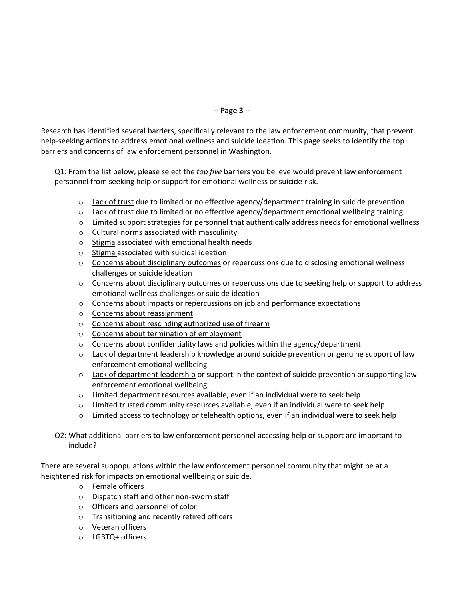# **-- Page 3 --**

Research has identified several barriers, specifically relevant to the law enforcement community, that prevent help-seeking actions to address emotional wellness and suicide ideation. This page seeks to identify the top barriers and concerns of law enforcement personnel in Washington.

Q1: From the list below, please select the *top five* barriers you believe would prevent law enforcement personnel from seeking help or support for emotional wellness or suicide risk.

- $\circ$  Lack of trust due to limited or no effective agency/department training in suicide prevention
- $\circ$  Lack of trust due to limited or no effective agency/department emotional wellbeing training
- $\circ$  Limited support strategies for personnel that authentically address needs for emotional wellness
- o Cultural norms associated with masculinity
- o Stigma associated with emotional health needs
- o Stigma associated with suicidal ideation
- $\circ$  Concerns about disciplinary outcomes or repercussions due to disclosing emotional wellness challenges or suicide ideation
- o Concerns about disciplinary outcomes or repercussions due to seeking help or support to address emotional wellness challenges or suicide ideation
- o Concerns about impacts or repercussions on job and performance expectations
- o Concerns about reassignment
- o Concerns about rescinding authorized use of firearm
- o Concerns about termination of employment
- o Concerns about confidentiality laws and policies within the agency/department
- o Lack of department leadership knowledge around suicide prevention or genuine support of law enforcement emotional wellbeing
- $\circ$  Lack of department leadership or support in the context of suicide prevention or supporting law enforcement emotional wellbeing
- o Limited department resources available, even if an individual were to seek help
- $\circ$  Limited trusted community resources available, even if an individual were to seek help
- o Limited access to technology or telehealth options, even if an individual were to seek help
- Q2: What additional barriers to law enforcement personnel accessing help or support are important to include?

There are several subpopulations within the law enforcement personnel community that might be at a heightened risk for impacts on emotional wellbeing or suicide.

- o Female officers
- o Dispatch staff and other non-sworn staff
- o Officers and personnel of color
- o Transitioning and recently retired officers
- o Veteran officers
- o LGBTQ+ officers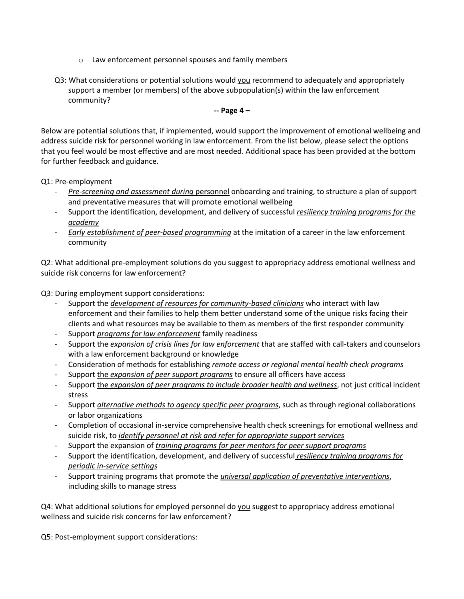- o Law enforcement personnel spouses and family members
- Q3: What considerations or potential solutions would you recommend to adequately and appropriately support a member (or members) of the above subpopulation(s) within the law enforcement community?

### **-- Page 4 –**

Below are potential solutions that, if implemented, would support the improvement of emotional wellbeing and address suicide risk for personnel working in law enforcement. From the list below, please select the options that you feel would be most effective and are most needed. Additional space has been provided at the bottom for further feedback and guidance.

Q1: Pre-employment

- *Pre-screening and assessment during* personnel onboarding and training, to structure a plan of support and preventative measures that will promote emotional wellbeing
- Support the identification, development, and delivery of successful *resiliency training programs for the academy*
- *Early establishment of peer-based programming* at the imitation of a career in the law enforcement community

Q2: What additional pre-employment solutions do you suggest to appropriacy address emotional wellness and suicide risk concerns for law enforcement?

Q3: During employment support considerations:

- Support the *development of resources for community-based clinicians* who interact with law enforcement and their families to help them better understand some of the unique risks facing their clients and what resources may be available to them as members of the first responder community
- Support *programs for law enforcement* family readiness
- Support the *expansion of crisis lines for law enforcement* that are staffed with call-takers and counselors with a law enforcement background or knowledge
- Consideration of methods for establishing *remote access or regional mental health check programs*
- Support the *expansion of peer support programs* to ensure all officers have access
- Support the *expansion of peer programs to include broader health and wellness*, not just critical incident stress
- Support *alternative methods to agency specific peer programs*, such as through regional collaborations or labor organizations
- Completion of occasional in-service comprehensive health check screenings for emotional wellness and suicide risk, to *identify personnel at risk and refer for appropriate support services*
- Support the expansion of *training programs for peer mentors for peer support programs*
- Support the identification, development, and delivery of successful *resiliency training programs for periodic in-service settings*
- Support training programs that promote the *universal application of preventative interventions*, including skills to manage stress

Q4: What additional solutions for employed personnel do you suggest to appropriacy address emotional wellness and suicide risk concerns for law enforcement?

Q5: Post-employment support considerations: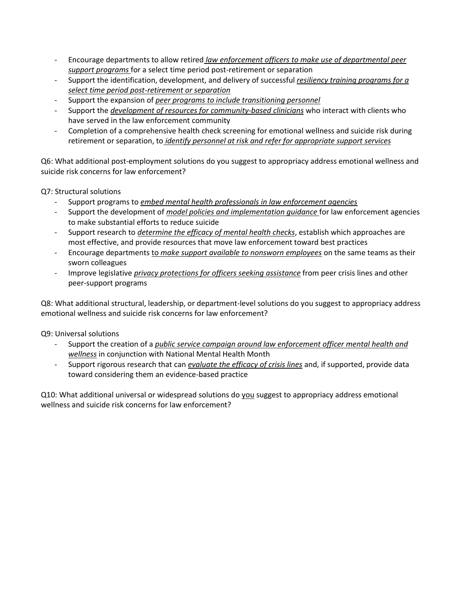- Encourage departments to allow retired *law enforcement officers to make use of departmental peer support programs* for a select time period post-retirement or separation
- Support the identification, development, and delivery of successful *resiliency training programs for a select time period post-retirement or separation*
- Support the expansion of *peer programs to include transitioning personnel*
- Support the *development of resources for community-based clinicians* who interact with clients who have served in the law enforcement community
- Completion of a comprehensive health check screening for emotional wellness and suicide risk during retirement or separation, to *identify personnel at risk and refer for appropriate support services*

Q6: What additional post-employment solutions do you suggest to appropriacy address emotional wellness and suicide risk concerns for law enforcement?

Q7: Structural solutions

- Support programs to *embed mental health professionals in law enforcement agencies*
- Support the development of *model policies and implementation guidance* for law enforcement agencies to make substantial efforts to reduce suicide
- Support research to *determine the efficacy of mental health checks*, establish which approaches are most effective, and provide resources that move law enforcement toward best practices
- Encourage departments to *make support available to nonsworn employees* on the same teams as their sworn colleagues
- Improve legislative *privacy protections for officers seeking assistance* from peer crisis lines and other peer-support programs

Q8: What additional structural, leadership, or department-level solutions do you suggest to appropriacy address emotional wellness and suicide risk concerns for law enforcement?

Q9: Universal solutions

- Support the creation of a *public service campaign around law enforcement officer mental health and wellness* in conjunction with National Mental Health Month
- Support rigorous research that can *evaluate the efficacy of crisis lines* and, if supported, provide data toward considering them an evidence-based practice

Q10: What additional universal or widespread solutions do you suggest to appropriacy address emotional wellness and suicide risk concerns for law enforcement?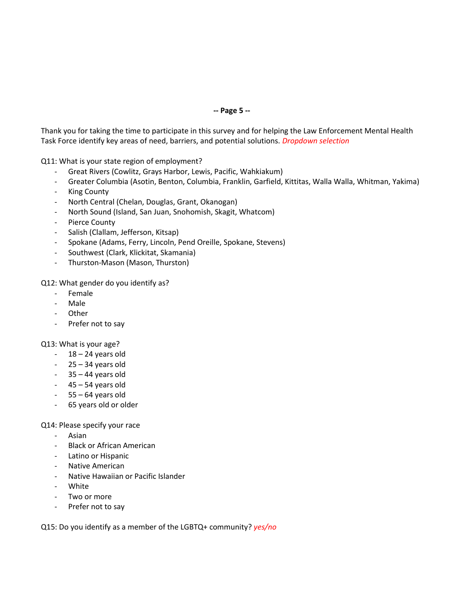### **-- Page 5 --**

Thank you for taking the time to participate in this survey and for helping the Law Enforcement Mental Health Task Force identify key areas of need, barriers, and potential solutions. *Dropdown selection*

Q11: What is your state region of employment?

- Great Rivers (Cowlitz, Grays Harbor, Lewis, Pacific, Wahkiakum)
- Greater Columbia (Asotin, Benton, Columbia, Franklin, Garfield, Kittitas, Walla Walla, Whitman, Yakima)
- **King County**
- North Central (Chelan, Douglas, Grant, Okanogan)
- North Sound (Island, San Juan, Snohomish, Skagit, Whatcom)
- Pierce County
- Salish (Clallam, Jefferson, Kitsap)
- Spokane (Adams, Ferry, Lincoln, Pend Oreille, Spokane, Stevens)
- Southwest (Clark, Klickitat, Skamania)
- Thurston-Mason (Mason, Thurston)

Q12: What gender do you identify as?

- Female
- Male
- Other
- Prefer not to say

### Q13: What is your age?

- $-18 24$  years old
- $-25 34$  years old
- $-35 44$  years old
- $-45 54$  years old
- $-55 64$  years old
- 65 years old or older

### Q14: Please specify your race

- Asian
- Black or African American
- Latino or Hispanic
- Native American
- Native Hawaiian or Pacific Islander
- White
- Two or more
- Prefer not to say

Q15: Do you identify as a member of the LGBTQ+ community? *yes/no*